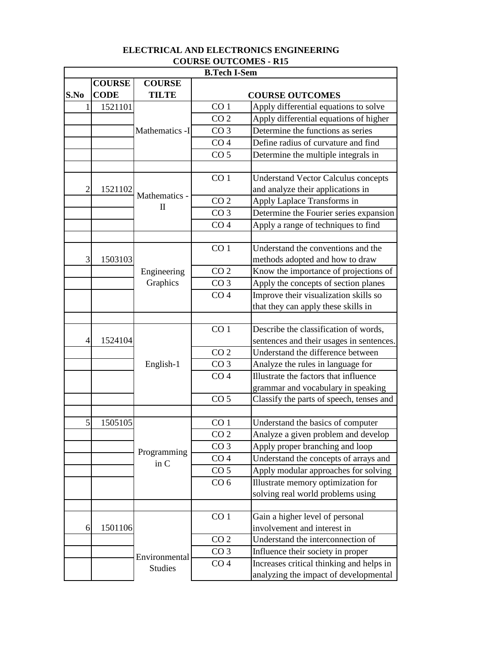| OUNDE OUTCOMED - MI.<br><b>B.Tech I-Sem</b> |               |                         |                 |                                            |
|---------------------------------------------|---------------|-------------------------|-----------------|--------------------------------------------|
|                                             | <b>COURSE</b> | <b>COURSE</b>           |                 |                                            |
| S.No                                        | <b>CODE</b>   | <b>TILTE</b>            |                 | <b>COURSE OUTCOMES</b>                     |
| 1                                           | 1521101       |                         | CO <sub>1</sub> | Apply differential equations to solve      |
|                                             |               |                         | CO <sub>2</sub> | Apply differential equations of higher     |
|                                             |               | Mathematics -I          | CO <sub>3</sub> | Determine the functions as series          |
|                                             |               |                         | CO <sub>4</sub> | Define radius of curvature and find        |
|                                             |               |                         | CO <sub>5</sub> | Determine the multiple integrals in        |
|                                             |               |                         |                 |                                            |
|                                             |               |                         | CO <sub>1</sub> | <b>Understand Vector Calculus concepts</b> |
| 2                                           | 1521102       |                         |                 | and analyze their applications in          |
|                                             |               | Mathematics -           | CO <sub>2</sub> | Apply Laplace Transforms in                |
|                                             |               | $\mathbf{I}$            | CO <sub>3</sub> | Determine the Fourier series expansion     |
|                                             |               |                         | CO <sub>4</sub> | Apply a range of techniques to find        |
|                                             |               |                         |                 |                                            |
|                                             |               |                         | CO <sub>1</sub> | Understand the conventions and the         |
| 3                                           | 1503103       |                         |                 | methods adopted and how to draw            |
|                                             |               | Engineering<br>Graphics | CO <sub>2</sub> | Know the importance of projections of      |
|                                             |               |                         | CO <sub>3</sub> | Apply the concepts of section planes       |
|                                             |               |                         | CO <sub>4</sub> | Improve their visualization skills so      |
|                                             |               |                         |                 | that they can apply these skills in        |
|                                             |               |                         |                 |                                            |
|                                             |               |                         | CO <sub>1</sub> | Describe the classification of words,      |
| 4                                           | 1524104       |                         |                 | sentences and their usages in sentences.   |
|                                             |               |                         | CO <sub>2</sub> | Understand the difference between          |
|                                             |               | English-1               | CO <sub>3</sub> | Analyze the rules in language for          |
|                                             |               |                         | CO <sub>4</sub> | Illustrate the factors that influence      |
|                                             |               |                         |                 | grammar and vocabulary in speaking         |
|                                             |               |                         | CO <sub>5</sub> | Classify the parts of speech, tenses and   |
|                                             |               |                         |                 |                                            |
| 5                                           | 1505105       |                         | CO <sub>1</sub> | Understand the basics of computer          |
|                                             |               |                         | CO <sub>2</sub> | Analyze a given problem and develop        |
|                                             |               | Programming             | CO <sub>3</sub> | Apply proper branching and loop            |
|                                             |               | in $C$                  | CO <sub>4</sub> | Understand the concepts of arrays and      |
|                                             |               |                         | CO <sub>5</sub> | Apply modular approaches for solving       |
|                                             |               |                         | CO <sub>6</sub> | Illustrate memory optimization for         |
|                                             |               |                         |                 | solving real world problems using          |
|                                             |               |                         |                 |                                            |
|                                             |               |                         | CO <sub>1</sub> | Gain a higher level of personal            |
| 6                                           | 1501106       |                         |                 | involvement and interest in                |
|                                             |               |                         | CO <sub>2</sub> | Understand the interconnection of          |
|                                             |               | Environmental           | CO <sub>3</sub> | Influence their society in proper          |
|                                             |               | <b>Studies</b>          | CO <sub>4</sub> | Increases critical thinking and helps in   |
|                                             |               |                         |                 | analyzing the impact of developmental      |

## **COURSE OUTCOMES - R15 ELECTRICAL AND ELECTRONICS ENGINEERING**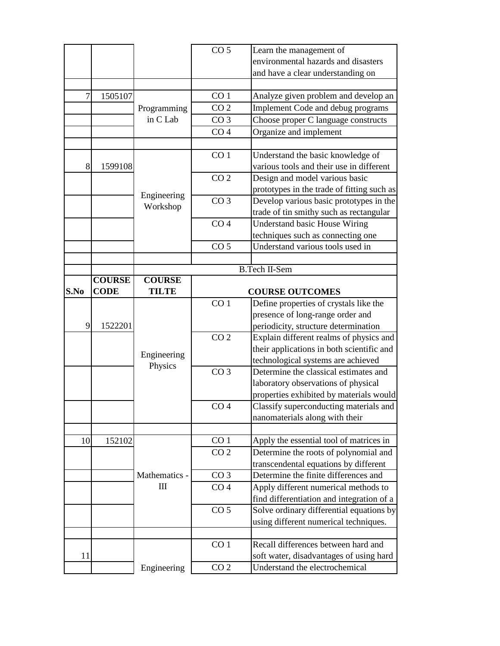|      |               |               | CO <sub>5</sub> | Learn the management of                    |
|------|---------------|---------------|-----------------|--------------------------------------------|
|      |               |               |                 | environmental hazards and disasters        |
|      |               |               |                 | and have a clear understanding on          |
|      |               |               |                 |                                            |
| 7    | 1505107       |               | CO <sub>1</sub> | Analyze given problem and develop an       |
|      |               | Programming   | CO <sub>2</sub> | Implement Code and debug programs          |
|      |               | in C Lab      | CO <sub>3</sub> | Choose proper C language constructs        |
|      |               |               | CO <sub>4</sub> | Organize and implement                     |
|      |               |               |                 |                                            |
|      |               |               | CO <sub>1</sub> | Understand the basic knowledge of          |
| 8    | 1599108       |               |                 | various tools and their use in different   |
|      |               |               | CO <sub>2</sub> | Design and model various basic             |
|      |               |               |                 | prototypes in the trade of fitting such as |
|      |               | Engineering   | CO <sub>3</sub> | Develop various basic prototypes in the    |
|      |               | Workshop      |                 | trade of tin smithy such as rectangular    |
|      |               |               | CO <sub>4</sub> | <b>Understand basic House Wiring</b>       |
|      |               |               |                 | techniques such as connecting one          |
|      |               |               | CO <sub>5</sub> | Understand various tools used in           |
|      |               |               |                 |                                            |
|      |               |               |                 | <b>B.Tech II-Sem</b>                       |
|      | <b>COURSE</b> | <b>COURSE</b> |                 |                                            |
| S.No | <b>CODE</b>   | <b>TILTE</b>  |                 | <b>COURSE OUTCOMES</b>                     |
|      |               |               | CO <sub>1</sub> | Define properties of crystals like the     |
|      |               |               |                 | presence of long-range order and           |
| 9    | 1522201       |               |                 | periodicity, structure determination       |
|      |               |               | CO <sub>2</sub> | Explain different realms of physics and    |
|      |               |               |                 | their applications in both scientific and  |
|      |               | Engineering   |                 | technological systems are achieved         |
|      |               | Physics       | CO <sub>3</sub> | Determine the classical estimates and      |
|      |               |               |                 | laboratory observations of physical        |
|      |               |               |                 | properties exhibited by materials would    |
|      |               |               | CO <sub>4</sub> | Classify superconducting materials and     |
|      |               |               |                 | nanomaterials along with their             |
|      |               |               |                 |                                            |
| 10   | 152102        |               | CO <sub>1</sub> | Apply the essential tool of matrices in    |
|      |               |               | CO <sub>2</sub> | Determine the roots of polynomial and      |
|      |               |               |                 | transcendental equations by different      |
|      |               | Mathematics - | CO <sub>3</sub> | Determine the finite differences and       |
|      |               | $\rm III$     | CO <sub>4</sub> | Apply different numerical methods to       |
|      |               |               |                 | find differentiation and integration of a  |
|      |               |               | CO <sub>5</sub> | Solve ordinary differential equations by   |
|      |               |               |                 | using different numerical techniques.      |
|      |               |               |                 |                                            |
|      |               |               |                 |                                            |
|      |               |               | CO <sub>1</sub> | Recall differences between hard and        |
| 11   |               |               |                 | soft water, disadvantages of using hard    |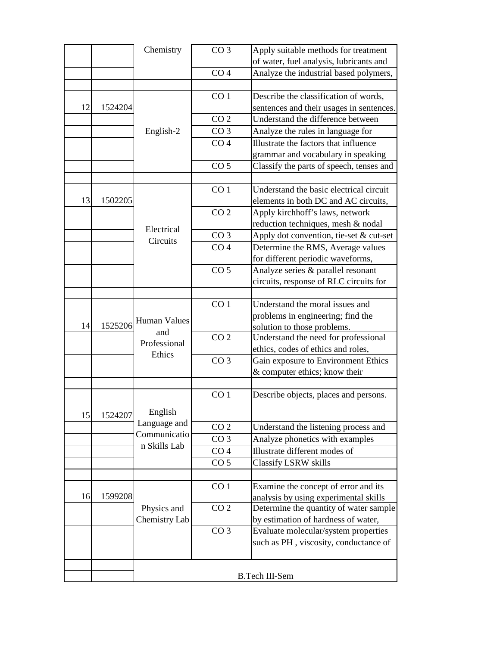|    |         | Chemistry               | CO <sub>3</sub> | Apply suitable methods for treatment     |
|----|---------|-------------------------|-----------------|------------------------------------------|
|    |         |                         |                 | of water, fuel analysis, lubricants and  |
|    |         |                         | CO <sub>4</sub> | Analyze the industrial based polymers,   |
|    |         |                         |                 |                                          |
|    |         |                         | CO <sub>1</sub> | Describe the classification of words,    |
| 12 | 1524204 |                         |                 | sentences and their usages in sentences. |
|    |         |                         | CO <sub>2</sub> | Understand the difference between        |
|    |         | English-2               | CO <sub>3</sub> | Analyze the rules in language for        |
|    |         |                         | CO <sub>4</sub> | Illustrate the factors that influence    |
|    |         |                         |                 | grammar and vocabulary in speaking       |
|    |         |                         | CO <sub>5</sub> | Classify the parts of speech, tenses and |
|    |         |                         |                 |                                          |
|    |         |                         | CO <sub>1</sub> | Understand the basic electrical circuit  |
| 13 | 1502205 |                         |                 | elements in both DC and AC circuits,     |
|    |         |                         | CO <sub>2</sub> | Apply kirchhoff's laws, network          |
|    |         | Electrical              |                 | reduction techniques, mesh & nodal       |
|    |         | Circuits                | CO <sub>3</sub> | Apply dot convention, tie-set & cut-set  |
|    |         |                         | CO <sub>4</sub> | Determine the RMS, Average values        |
|    |         |                         |                 | for different periodic waveforms,        |
|    |         |                         | CO <sub>5</sub> | Analyze series & parallel resonant       |
|    |         |                         |                 | circuits, response of RLC circuits for   |
|    |         |                         |                 |                                          |
|    |         |                         | CO <sub>1</sub> | Understand the moral issues and          |
|    |         |                         |                 | problems in engineering; find the        |
| 14 | 1525206 | Human Values            |                 | solution to those problems.              |
|    |         | and                     | CO <sub>2</sub> | Understand the need for professional     |
|    |         | Professional<br>Ethics  |                 | ethics, codes of ethics and roles,       |
|    |         |                         | CO <sub>3</sub> | Gain exposure to Environment Ethics      |
|    |         |                         |                 | & computer ethics; know their            |
|    |         |                         |                 |                                          |
|    |         |                         | CO <sub>1</sub> | Describe objects, places and persons.    |
|    |         |                         |                 |                                          |
| 15 | 1524207 | English<br>Language and |                 |                                          |
|    |         | Communicatio            | CO <sub>2</sub> | Understand the listening process and     |
|    |         | n Skills Lab            | CO <sub>3</sub> | Analyze phonetics with examples          |
|    |         |                         | CO <sub>4</sub> | Illustrate different modes of            |
|    |         |                         | CO <sub>5</sub> | <b>Classify LSRW skills</b>              |
|    |         |                         |                 |                                          |
|    |         |                         | CO <sub>1</sub> | Examine the concept of error and its     |
| 16 | 1599208 |                         |                 | analysis by using experimental skills    |
|    |         | Physics and             | CO <sub>2</sub> | Determine the quantity of water sample   |
|    |         | Chemistry Lab           |                 | by estimation of hardness of water,      |
|    |         |                         | CO <sub>3</sub> | Evaluate molecular/system properties     |
|    |         |                         |                 | such as PH, viscosity, conductance of    |
|    |         |                         |                 |                                          |
|    |         |                         |                 |                                          |
|    |         |                         |                 | <b>B.Tech III-Sem</b>                    |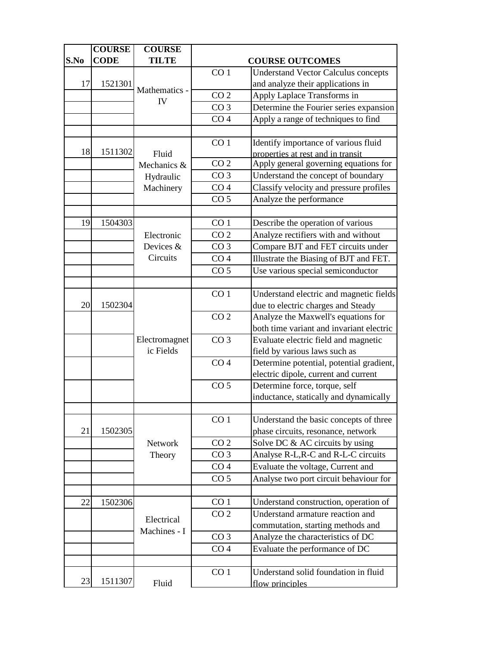|      | <b>COURSE</b> | <b>COURSE</b>  |                        |                                            |
|------|---------------|----------------|------------------------|--------------------------------------------|
| S.No | <b>CODE</b>   | <b>TILTE</b>   | <b>COURSE OUTCOMES</b> |                                            |
|      |               |                | CO <sub>1</sub>        | <b>Understand Vector Calculus concepts</b> |
| 17   | 1521301       |                |                        | and analyze their applications in          |
|      |               | Mathematics -  | CO <sub>2</sub>        | Apply Laplace Transforms in                |
|      |               | IV             | CO <sub>3</sub>        | Determine the Fourier series expansion     |
|      |               |                | CO <sub>4</sub>        | Apply a range of techniques to find        |
|      |               |                |                        |                                            |
|      |               |                | CO <sub>1</sub>        | Identify importance of various fluid       |
| 18   | 1511302       | Fluid          |                        | properties at rest and in transit          |
|      |               | Mechanics &    | CO <sub>2</sub>        | Apply general governing equations for      |
|      |               | Hydraulic      | CO <sub>3</sub>        | Understand the concept of boundary         |
|      |               | Machinery      | CO <sub>4</sub>        | Classify velocity and pressure profiles    |
|      |               |                | CO <sub>5</sub>        | Analyze the performance                    |
|      |               |                |                        |                                            |
| 19   | 1504303       |                | CO <sub>1</sub>        | Describe the operation of various          |
|      |               | Electronic     | CO <sub>2</sub>        | Analyze rectifiers with and without        |
|      |               | Devices &      | CO <sub>3</sub>        | Compare BJT and FET circuits under         |
|      |               | Circuits       | CO <sub>4</sub>        | Illustrate the Biasing of BJT and FET.     |
|      |               |                | CO <sub>5</sub>        | Use various special semiconductor          |
|      |               |                |                        |                                            |
|      |               |                | CO <sub>1</sub>        | Understand electric and magnetic fields    |
| 20   | 1502304       |                |                        | due to electric charges and Steady         |
|      |               |                | CO <sub>2</sub>        | Analyze the Maxwell's equations for        |
|      |               |                |                        | both time variant and invariant electric   |
|      |               | Electromagnet  | CO <sub>3</sub>        | Evaluate electric field and magnetic       |
|      |               | ic Fields      |                        | field by various laws such as              |
|      |               |                | CO <sub>4</sub>        | Determine potential, potential gradient,   |
|      |               |                |                        | electric dipole, current and current       |
|      |               |                | CO <sub>5</sub>        | Determine force, torque, self              |
|      |               |                |                        | inductance, statically and dynamically     |
|      |               |                |                        |                                            |
|      |               |                | CO <sub>1</sub>        | Understand the basic concepts of three     |
| 21   | 1502305       |                |                        | phase circuits, resonance, network         |
|      |               | <b>Network</b> | CO <sub>2</sub>        | Solve DC & AC circuits by using            |
|      |               | Theory         | CO <sub>3</sub>        | Analyse R-L, R-C and R-L-C circuits        |
|      |               |                | CO <sub>4</sub>        | Evaluate the voltage, Current and          |
|      |               |                | CO <sub>5</sub>        | Analyse two port circuit behaviour for     |
|      |               |                |                        |                                            |
| 22   | 1502306       |                | CO <sub>1</sub>        | Understand construction, operation of      |
|      |               | Electrical     | CO <sub>2</sub>        | Understand armature reaction and           |
|      |               | Machines - I   |                        | commutation, starting methods and          |
|      |               |                | CO <sub>3</sub>        | Analyze the characteristics of DC          |
|      |               |                | CO <sub>4</sub>        | Evaluate the performance of DC             |
|      |               |                |                        |                                            |
|      |               |                | CO <sub>1</sub>        | Understand solid foundation in fluid       |
| 23   | 1511307       | Fluid          |                        | flow principles                            |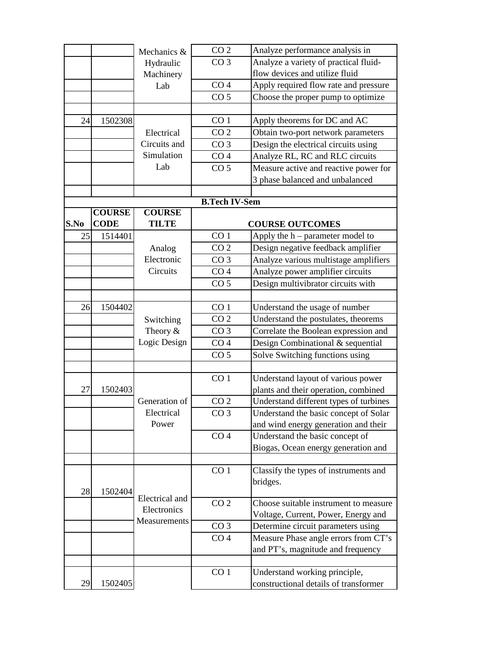|      |               | Mechanics &    | CO <sub>2</sub>      | Analyze performance analysis in        |
|------|---------------|----------------|----------------------|----------------------------------------|
|      |               | Hydraulic      | CO <sub>3</sub>      | Analyze a variety of practical fluid-  |
|      |               | Machinery      |                      | flow devices and utilize fluid         |
|      |               | Lab            | CO <sub>4</sub>      | Apply required flow rate and pressure  |
|      |               |                | CO <sub>5</sub>      | Choose the proper pump to optimize     |
|      |               |                |                      |                                        |
| 24   | 1502308       |                | CO <sub>1</sub>      | Apply theorems for DC and AC           |
|      |               | Electrical     | CO <sub>2</sub>      | Obtain two-port network parameters     |
|      |               | Circuits and   | CO <sub>3</sub>      | Design the electrical circuits using   |
|      |               | Simulation     | CO <sub>4</sub>      | Analyze RL, RC and RLC circuits        |
|      |               | Lab            | CO <sub>5</sub>      | Measure active and reactive power for  |
|      |               |                |                      | 3 phase balanced and unbalanced        |
|      |               |                |                      |                                        |
|      |               |                | <b>B.Tech IV-Sem</b> |                                        |
|      | <b>COURSE</b> | <b>COURSE</b>  |                      |                                        |
| S.No | <b>CODE</b>   | <b>TILTE</b>   |                      | <b>COURSE OUTCOMES</b>                 |
| 25   | 1514401       |                | CO <sub>1</sub>      | Apply the $h$ – parameter model to     |
|      |               | Analog         | CO <sub>2</sub>      | Design negative feedback amplifier     |
|      |               | Electronic     | CO <sub>3</sub>      | Analyze various multistage amplifiers  |
|      |               | Circuits       | CO <sub>4</sub>      | Analyze power amplifier circuits       |
|      |               |                | CO <sub>5</sub>      | Design multivibrator circuits with     |
|      |               |                |                      |                                        |
| 26   | 1504402       |                | CO <sub>1</sub>      | Understand the usage of number         |
|      |               | Switching      | CO <sub>2</sub>      | Understand the postulates, theorems    |
|      |               | Theory $&$     | CO <sub>3</sub>      | Correlate the Boolean expression and   |
|      |               | Logic Design   | CO <sub>4</sub>      | Design Combinational & sequential      |
|      |               |                | CO <sub>5</sub>      | Solve Switching functions using        |
|      |               |                |                      |                                        |
|      |               |                | CO <sub>1</sub>      | Understand layout of various power     |
| 27   | 1502403       |                |                      | plants and their operation, combined   |
|      |               | Generation of  | CO <sub>2</sub>      | Understand different types of turbines |
|      |               | Electrical     | CO <sub>3</sub>      | Understand the basic concept of Solar  |
|      |               | Power          |                      | and wind energy generation and their   |
|      |               |                | CO <sub>4</sub>      | Understand the basic concept of        |
|      |               |                |                      | Biogas, Ocean energy generation and    |
|      |               |                |                      |                                        |
|      |               |                | CO <sub>1</sub>      | Classify the types of instruments and  |
| 28   | 1502404       |                |                      | bridges.                               |
|      |               | Electrical and | CO <sub>2</sub>      | Choose suitable instrument to measure  |
|      |               | Electronics    |                      | Voltage, Current, Power, Energy and    |
|      |               | Measurements   | CO <sub>3</sub>      | Determine circuit parameters using     |
|      |               |                | CO <sub>4</sub>      | Measure Phase angle errors from CT's   |
|      |               |                |                      | and PT's, magnitude and frequency      |
|      |               |                |                      |                                        |
|      |               |                | CO <sub>1</sub>      | Understand working principle,          |
| 29   | 1502405       |                |                      | constructional details of transformer  |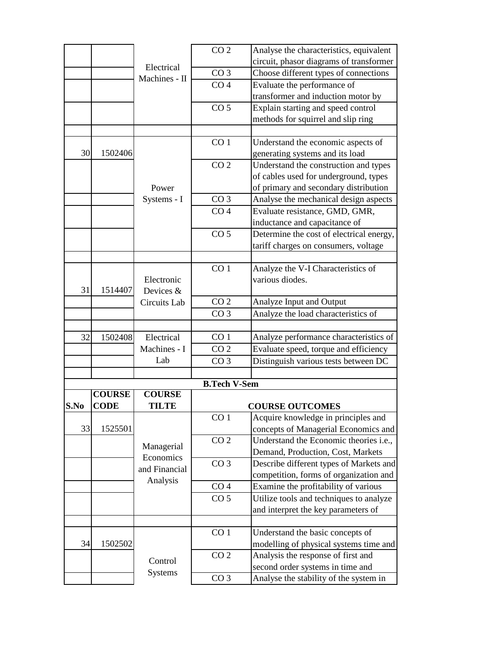|      |               |                             | CO <sub>2</sub>     | Analyse the characteristics, equivalent                                      |
|------|---------------|-----------------------------|---------------------|------------------------------------------------------------------------------|
|      |               |                             |                     | circuit, phasor diagrams of transformer                                      |
|      |               | Electrical<br>Machines - II | CO <sub>3</sub>     | Choose different types of connections                                        |
|      |               |                             | CO <sub>4</sub>     | Evaluate the performance of                                                  |
|      |               |                             |                     | transformer and induction motor by                                           |
|      |               |                             | CO <sub>5</sub>     | Explain starting and speed control                                           |
|      |               |                             |                     | methods for squirrel and slip ring                                           |
|      |               |                             |                     |                                                                              |
|      |               |                             | CO <sub>1</sub>     | Understand the economic aspects of                                           |
| 30   | 1502406       |                             |                     | generating systems and its load                                              |
|      |               |                             | CO <sub>2</sub>     | Understand the construction and types                                        |
|      |               |                             |                     | of cables used for underground, types                                        |
|      |               | Power                       |                     | of primary and secondary distribution                                        |
|      |               | Systems - I                 | CO <sub>3</sub>     | Analyse the mechanical design aspects                                        |
|      |               |                             | CO <sub>4</sub>     | Evaluate resistance, GMD, GMR,                                               |
|      |               |                             |                     | inductance and capacitance of                                                |
|      |               |                             | CO <sub>5</sub>     | Determine the cost of electrical energy,                                     |
|      |               |                             |                     | tariff charges on consumers, voltage                                         |
|      |               |                             |                     |                                                                              |
|      |               |                             | CO <sub>1</sub>     | Analyze the V-I Characteristics of                                           |
|      |               | Electronic                  |                     | various diodes.                                                              |
| 31   | 1514407       | Devices &                   |                     |                                                                              |
|      |               | Circuits Lab                | CO <sub>2</sub>     | Analyze Input and Output                                                     |
|      |               |                             | CO <sub>3</sub>     | Analyze the load characteristics of                                          |
|      |               |                             |                     |                                                                              |
| 32   | 1502408       | Electrical                  | CO <sub>1</sub>     | Analyze performance characteristics of                                       |
|      |               | Machines - I                | CO <sub>2</sub>     | Evaluate speed, torque and efficiency                                        |
|      |               | Lab                         | CO <sub>3</sub>     | Distinguish various tests between DC                                         |
|      |               |                             |                     |                                                                              |
|      |               |                             | <b>B.Tech V-Sem</b> |                                                                              |
|      | <b>COURSE</b> | <b>COURSE</b>               |                     |                                                                              |
| S.No | <b>CODE</b>   | <b>TILTE</b>                |                     | <b>COURSE OUTCOMES</b>                                                       |
|      |               |                             | CO <sub>1</sub>     | Acquire knowledge in principles and                                          |
| 33   | 1525501       |                             |                     | concepts of Managerial Economics and                                         |
|      |               | Managerial                  | CO <sub>2</sub>     | Understand the Economic theories i.e.,                                       |
|      |               | Economics                   |                     | Demand, Production, Cost, Markets                                            |
|      |               | and Financial               | CO <sub>3</sub>     | Describe different types of Markets and                                      |
|      |               | Analysis                    |                     | competition, forms of organization and                                       |
|      |               |                             | CO <sub>4</sub>     | Examine the profitability of various                                         |
|      |               |                             | CO <sub>5</sub>     | Utilize tools and techniques to analyze                                      |
|      |               |                             |                     | and interpret the key parameters of                                          |
|      |               |                             | CO <sub>1</sub>     |                                                                              |
|      |               |                             |                     | Understand the basic concepts of                                             |
| 34   | 1502502       |                             | CO <sub>2</sub>     | modelling of physical systems time and<br>Analysis the response of first and |
|      |               | Control                     |                     |                                                                              |
|      |               | <b>Systems</b>              |                     | second order systems in time and                                             |
|      |               |                             | CO <sub>3</sub>     | Analyse the stability of the system in                                       |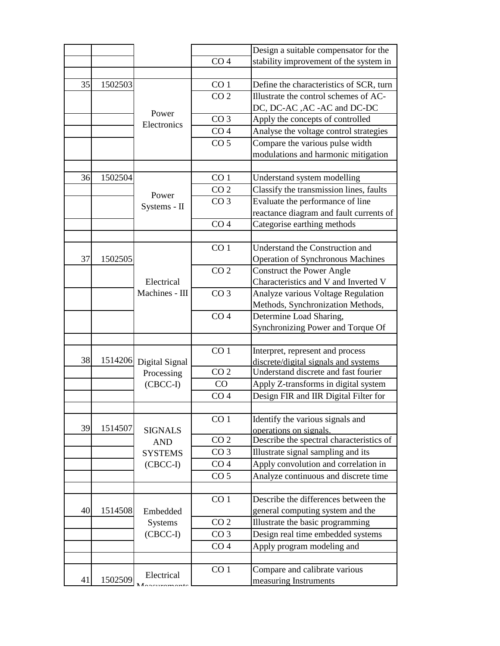|    |         |                      |                 | Design a suitable compensator for the    |
|----|---------|----------------------|-----------------|------------------------------------------|
|    |         |                      | CO <sub>4</sub> | stability improvement of the system in   |
|    |         |                      |                 |                                          |
| 35 | 1502503 |                      | CO <sub>1</sub> | Define the characteristics of SCR, turn  |
|    |         |                      | CO <sub>2</sub> | Illustrate the control schemes of AC-    |
|    |         |                      |                 | DC, DC-AC , AC -AC and DC-DC             |
|    |         | Power<br>Electronics | CO <sub>3</sub> | Apply the concepts of controlled         |
|    |         |                      | CO <sub>4</sub> | Analyse the voltage control strategies   |
|    |         |                      | CO <sub>5</sub> | Compare the various pulse width          |
|    |         |                      |                 | modulations and harmonic mitigation      |
|    |         |                      |                 |                                          |
| 36 | 1502504 |                      | CO <sub>1</sub> | Understand system modelling              |
|    |         |                      | CO <sub>2</sub> | Classify the transmission lines, faults  |
|    |         | Power                | CO <sub>3</sub> | Evaluate the performance of line         |
|    |         | Systems - II         |                 | reactance diagram and fault currents of  |
|    |         |                      | CO <sub>4</sub> | Categorise earthing methods              |
|    |         |                      |                 |                                          |
|    |         |                      | CO <sub>1</sub> | Understand the Construction and          |
| 37 | 1502505 |                      |                 | <b>Operation of Synchronous Machines</b> |
|    |         |                      | CO <sub>2</sub> | <b>Construct the Power Angle</b>         |
|    |         | Electrical           |                 | Characteristics and V and Inverted V     |
|    |         | Machines - III       | CO <sub>3</sub> | Analyze various Voltage Regulation       |
|    |         |                      |                 | Methods, Synchronization Methods,        |
|    |         |                      | CO <sub>4</sub> | Determine Load Sharing,                  |
|    |         |                      |                 | Synchronizing Power and Torque Of        |
|    |         |                      |                 |                                          |
|    |         |                      | CO <sub>1</sub> | Interpret, represent and process         |
| 38 | 1514206 | Digital Signal       |                 | discrete/digital signals and systems     |
|    |         | Processing           | CO <sub>2</sub> | Understand discrete and fast fourier     |
|    |         | (CBCC-I)             | CO              | Apply Z-transforms in digital system     |
|    |         |                      | CO <sub>4</sub> | Design FIR and IIR Digital Filter for    |
|    |         |                      |                 |                                          |
| 39 | 1514507 |                      | CO <sub>1</sub> | Identify the various signals and         |
|    |         | <b>SIGNALS</b>       | CO <sub>2</sub> | operations on signals.                   |
|    |         | <b>AND</b>           |                 | Describe the spectral characteristics of |
|    |         | <b>SYSTEMS</b>       | CO <sub>3</sub> | Illustrate signal sampling and its       |
|    |         | $(CBCC-I)$           | CO <sub>4</sub> | Apply convolution and correlation in     |
|    |         |                      | CO <sub>5</sub> | Analyze continuous and discrete time     |
|    |         |                      |                 |                                          |
|    |         |                      | CO <sub>1</sub> | Describe the differences between the     |
| 40 | 1514508 | Embedded             |                 | general computing system and the         |
|    |         | <b>Systems</b>       | CO <sub>2</sub> | Illustrate the basic programming         |
|    |         | $(CBCC-I)$           | CO <sub>3</sub> | Design real time embedded systems        |
|    |         |                      | CO <sub>4</sub> | Apply program modeling and               |
|    |         |                      |                 |                                          |
| 41 | 1502509 | Electrical           | CO <sub>1</sub> | Compare and calibrate various            |
|    |         |                      |                 | measuring Instruments                    |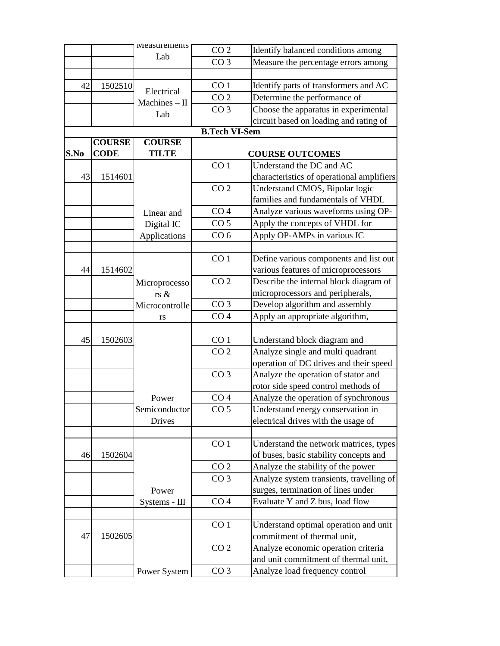|      |               | <i>vieasurements</i> | CO <sub>2</sub>      | Identify balanced conditions among        |
|------|---------------|----------------------|----------------------|-------------------------------------------|
|      |               | Lab                  | CO <sub>3</sub>      | Measure the percentage errors among       |
|      |               |                      |                      |                                           |
| 42   | 1502510       |                      | CO <sub>1</sub>      | Identify parts of transformers and AC     |
|      |               | Electrical           | CO <sub>2</sub>      | Determine the performance of              |
|      |               | Machines $-$ II      | CO <sub>3</sub>      | Choose the apparatus in experimental      |
|      |               | Lab                  |                      | circuit based on loading and rating of    |
|      |               |                      | <b>B.Tech VI-Sem</b> |                                           |
|      | <b>COURSE</b> | <b>COURSE</b>        |                      |                                           |
| S.No | <b>CODE</b>   | <b>TILTE</b>         |                      | <b>COURSE OUTCOMES</b>                    |
|      |               |                      | CO <sub>1</sub>      | Understand the DC and AC                  |
| 43   | 1514601       |                      |                      | characteristics of operational amplifiers |
|      |               |                      | CO <sub>2</sub>      | Understand CMOS, Bipolar logic            |
|      |               |                      |                      | families and fundamentals of VHDL         |
|      |               | Linear and           | CO <sub>4</sub>      | Analyze various waveforms using OP-       |
|      |               | Digital IC           | CO <sub>5</sub>      | Apply the concepts of VHDL for            |
|      |               | Applications         | CO <sub>6</sub>      | Apply OP-AMPs in various IC               |
|      |               |                      |                      |                                           |
|      |               |                      | CO <sub>1</sub>      | Define various components and list out    |
| 44   | 1514602       |                      |                      | various features of microprocessors       |
|      |               |                      | CO <sub>2</sub>      | Describe the internal block diagram of    |
|      |               | Microprocesso        |                      | microprocessors and peripherals,          |
|      |               | rs &                 | CO <sub>3</sub>      | Develop algorithm and assembly            |
|      |               | Microcontrolle       | CO <sub>4</sub>      |                                           |
|      |               | rs                   |                      | Apply an appropriate algorithm,           |
| 45   | 1502603       |                      | CO <sub>1</sub>      | Understand block diagram and              |
|      |               |                      | CO <sub>2</sub>      | Analyze single and multi quadrant         |
|      |               |                      |                      | operation of DC drives and their speed    |
|      |               |                      | CO <sub>3</sub>      | Analyze the operation of stator and       |
|      |               |                      |                      |                                           |
|      |               |                      | CO <sub>4</sub>      | rotor side speed control methods of       |
|      |               | Power                |                      | Analyze the operation of synchronous      |
|      |               | Semiconductor        | CO <sub>5</sub>      | Understand energy conservation in         |
|      |               | Drives               |                      | electrical drives with the usage of       |
|      |               |                      |                      |                                           |
|      |               |                      | CO <sub>1</sub>      | Understand the network matrices, types    |
| 46   | 1502604       |                      |                      | of buses, basic stability concepts and    |
|      |               |                      | CO <sub>2</sub>      | Analyze the stability of the power        |
|      |               |                      | CO <sub>3</sub>      | Analyze system transients, travelling of  |
|      |               | Power                |                      | surges, termination of lines under        |
|      |               | Systems - III        | CO <sub>4</sub>      | Evaluate Y and Z bus, load flow           |
|      |               |                      |                      |                                           |
|      |               |                      | CO <sub>1</sub>      | Understand optimal operation and unit     |
| 47   | 1502605       |                      |                      | commitment of thermal unit,               |
|      |               |                      | CO <sub>2</sub>      | Analyze economic operation criteria       |
|      |               |                      |                      | and unit commitment of thermal unit,      |
|      |               | Power System         | CO <sub>3</sub>      | Analyze load frequency control            |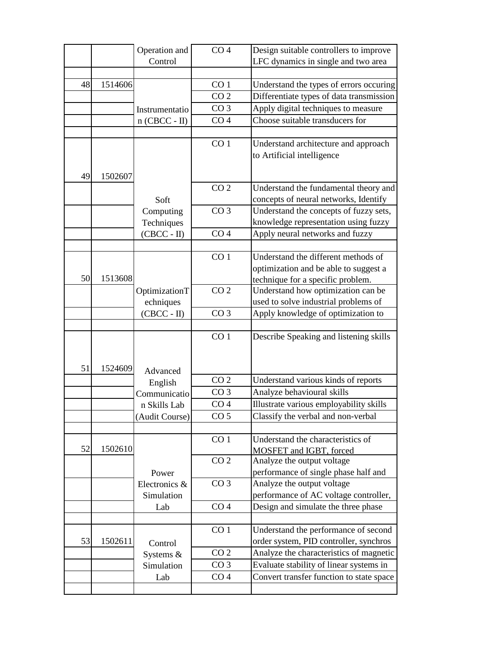| CO <sub>4</sub><br>Operation and                                            | Design suitable controllers to improve |
|-----------------------------------------------------------------------------|----------------------------------------|
| Control<br>LFC dynamics in single and two area                              |                                        |
|                                                                             |                                        |
| 48<br>CO <sub>1</sub><br>Understand the types of errors occuring<br>1514606 |                                        |
| CO <sub>2</sub><br>Differentiate types of data transmission                 |                                        |
| Apply digital techniques to measure<br>CO <sub>3</sub><br>Instrumentatio    |                                        |
| Choose suitable transducers for<br>CO <sub>4</sub><br>$n$ (CBCC - II)       |                                        |
|                                                                             |                                        |
| CO <sub>1</sub><br>Understand architecture and approach                     |                                        |
| to Artificial intelligence                                                  |                                        |
|                                                                             |                                        |
| 49<br>1502607                                                               |                                        |
| CO <sub>2</sub><br>Understand the fundamental theory and                    |                                        |
| concepts of neural networks, Identify<br>Soft                               |                                        |
| CO <sub>3</sub><br>Understand the concepts of fuzzy sets,<br>Computing      |                                        |
| knowledge representation using fuzzy<br>Techniques                          |                                        |
| CO <sub>4</sub><br>Apply neural networks and fuzzy<br>$(CBCC - II)$         |                                        |
|                                                                             |                                        |
| CO <sub>1</sub><br>Understand the different methods of                      |                                        |
| optimization and be able to suggest a                                       |                                        |
| 50<br>1513608<br>technique for a specific problem.                          |                                        |
| CO <sub>2</sub><br>Understand how optimization can be<br>OptimizationT      |                                        |
| used to solve industrial problems of<br>echniques                           |                                        |
| $(CBCC - II)$<br>Apply knowledge of optimization to<br>CO <sub>3</sub>      |                                        |
|                                                                             |                                        |
| CO <sub>1</sub><br>Describe Speaking and listening skills                   |                                        |
|                                                                             |                                        |
| 51<br>1524609<br>Advanced                                                   |                                        |
| CO <sub>2</sub><br>Understand various kinds of reports<br>English           |                                        |
| Analyze behavioural skills<br>CO <sub>3</sub><br>Communicatio               |                                        |
| Illustrate various employability skills<br>CO <sub>4</sub><br>n Skills Lab  |                                        |
| CO <sub>5</sub><br>Classify the verbal and non-verbal<br>(Audit Course)     |                                        |
|                                                                             |                                        |
| CO <sub>1</sub><br>Understand the characteristics of                        |                                        |
| 52<br>1502610<br>MOSFET and IGBT, forced                                    |                                        |
| CO <sub>2</sub><br>Analyze the output voltage                               |                                        |
| performance of single phase half and<br>Power                               |                                        |
| CO <sub>3</sub><br>Analyze the output voltage<br>Electronics &              |                                        |
| performance of AC voltage controller,<br>Simulation                         |                                        |
| CO <sub>4</sub><br>Design and simulate the three phase<br>Lab               |                                        |
|                                                                             |                                        |
| Understand the performance of second<br>CO <sub>1</sub>                     |                                        |
| order system, PID controller, synchros<br>53<br>1502611<br>Control          |                                        |
| CO <sub>2</sub><br>Analyze the characteristics of magnetic<br>Systems &     |                                        |
| CO <sub>3</sub><br>Evaluate stability of linear systems in<br>Simulation    |                                        |
| Convert transfer function to state space<br>CO <sub>4</sub><br>Lab          |                                        |
|                                                                             |                                        |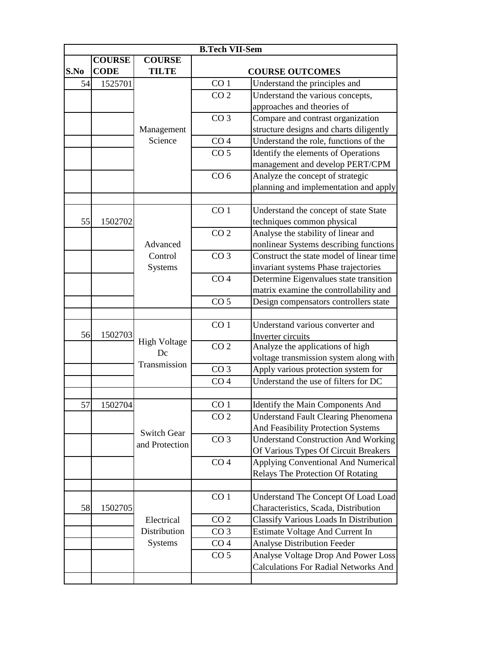|      | <b>B.Tech VII-Sem</b> |                           |                 |                                             |  |  |
|------|-----------------------|---------------------------|-----------------|---------------------------------------------|--|--|
|      | <b>COURSE</b>         | <b>COURSE</b>             |                 |                                             |  |  |
| S.No | <b>CODE</b>           | <b>TILTE</b>              |                 | <b>COURSE OUTCOMES</b>                      |  |  |
| 54   | 1525701               |                           | CO <sub>1</sub> | Understand the principles and               |  |  |
|      |                       |                           | CO <sub>2</sub> | Understand the various concepts,            |  |  |
|      |                       |                           |                 | approaches and theories of                  |  |  |
|      |                       |                           | CO <sub>3</sub> | Compare and contrast organization           |  |  |
|      |                       | Management                |                 | structure designs and charts diligently     |  |  |
|      |                       | Science                   | CO <sub>4</sub> | Understand the role, functions of the       |  |  |
|      |                       |                           | CO <sub>5</sub> | Identify the elements of Operations         |  |  |
|      |                       |                           |                 | management and develop PERT/CPM             |  |  |
|      |                       |                           | CO <sub>6</sub> | Analyze the concept of strategic            |  |  |
|      |                       |                           |                 | planning and implementation and apply       |  |  |
|      |                       |                           |                 |                                             |  |  |
|      |                       |                           | CO <sub>1</sub> | Understand the concept of state State       |  |  |
| 55   | 1502702               |                           |                 | techniques common physical                  |  |  |
|      |                       |                           | CO <sub>2</sub> | Analyse the stability of linear and         |  |  |
|      |                       | Advanced                  |                 | nonlinear Systems describing functions      |  |  |
|      |                       | Control                   | CO <sub>3</sub> | Construct the state model of linear time    |  |  |
|      |                       | <b>Systems</b>            |                 | invariant systems Phase trajectories        |  |  |
|      |                       |                           | CO <sub>4</sub> | Determine Eigenvalues state transition      |  |  |
|      |                       |                           |                 | matrix examine the controllability and      |  |  |
|      |                       |                           | CO <sub>5</sub> | Design compensators controllers state       |  |  |
|      |                       |                           |                 |                                             |  |  |
|      |                       |                           | CO <sub>1</sub> | Understand various converter and            |  |  |
| 56   | 1502703               |                           |                 | Inverter circuits                           |  |  |
|      |                       | <b>High Voltage</b><br>Dc | CO <sub>2</sub> | Analyze the applications of high            |  |  |
|      |                       |                           |                 | voltage transmission system along with      |  |  |
|      |                       | Transmission              | CO <sub>3</sub> | Apply various protection system for         |  |  |
|      |                       |                           | CO <sub>4</sub> | Understand the use of filters for DC        |  |  |
|      |                       |                           |                 |                                             |  |  |
| 57   | 1502704               |                           | CO <sub>1</sub> | Identify the Main Components And            |  |  |
|      |                       |                           | CO <sub>2</sub> | <b>Understand Fault Clearing Phenomena</b>  |  |  |
|      |                       | <b>Switch Gear</b>        |                 | And Feasibility Protection Systems          |  |  |
|      |                       |                           | CO <sub>3</sub> | <b>Understand Construction And Working</b>  |  |  |
|      |                       | and Protection            |                 | Of Various Types Of Circuit Breakers        |  |  |
|      |                       |                           | CO <sub>4</sub> | Applying Conventional And Numerical         |  |  |
|      |                       |                           |                 | Relays The Protection Of Rotating           |  |  |
|      |                       |                           |                 |                                             |  |  |
|      |                       |                           | CO <sub>1</sub> | Understand The Concept Of Load Load         |  |  |
| 58   | 1502705               |                           |                 | Characteristics, Scada, Distribution        |  |  |
|      |                       | Electrical                | CO <sub>2</sub> | Classify Various Loads In Distribution      |  |  |
|      |                       | Distribution              | CO <sub>3</sub> | Estimate Voltage And Current In             |  |  |
|      |                       | <b>Systems</b>            | CO <sub>4</sub> | <b>Analyse Distribution Feeder</b>          |  |  |
|      |                       |                           | CO <sub>5</sub> | Analyse Voltage Drop And Power Loss         |  |  |
|      |                       |                           |                 | <b>Calculations For Radial Networks And</b> |  |  |
|      |                       |                           |                 |                                             |  |  |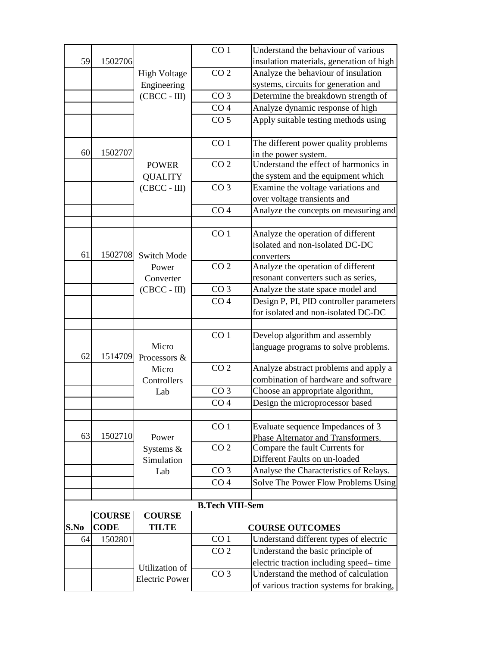|      |               |                       | CO <sub>1</sub>        | Understand the behaviour of various              |
|------|---------------|-----------------------|------------------------|--------------------------------------------------|
| 59   | 1502706       |                       |                        | insulation materials, generation of high         |
|      |               | <b>High Voltage</b>   | CO <sub>2</sub>        | Analyze the behaviour of insulation              |
|      |               | Engineering           |                        | systems, circuits for generation and             |
|      |               | $(CBCC - III)$        | CO <sub>3</sub>        | Determine the breakdown strength of              |
|      |               |                       | CO <sub>4</sub>        | Analyze dynamic response of high                 |
|      |               |                       | CO <sub>5</sub>        | Apply suitable testing methods using             |
|      |               |                       |                        |                                                  |
|      |               |                       | CO <sub>1</sub>        | The different power quality problems             |
| 60   | 1502707       |                       |                        | in the power system.                             |
|      |               | <b>POWER</b>          | CO <sub>2</sub>        | Understand the effect of harmonics in            |
|      |               | <b>QUALITY</b>        |                        | the system and the equipment which               |
|      |               | $(CBCC - III)$        | CO <sub>3</sub>        | Examine the voltage variations and               |
|      |               |                       |                        | over voltage transients and                      |
|      |               |                       | CO <sub>4</sub>        | Analyze the concepts on measuring and            |
|      |               |                       |                        |                                                  |
|      |               |                       | CO <sub>1</sub>        | Analyze the operation of different               |
| 61   | 1502708       | <b>Switch Mode</b>    |                        | isolated and non-isolated DC-DC                  |
|      |               | Power                 | CO <sub>2</sub>        | converters<br>Analyze the operation of different |
|      |               | Converter             |                        | resonant converters such as series,              |
|      |               | $(CBCC - III)$        | CO <sub>3</sub>        | Analyze the state space model and                |
|      |               |                       | CO <sub>4</sub>        | Design P, PI, PID controller parameters          |
|      |               |                       |                        | for isolated and non-isolated DC-DC              |
|      |               |                       |                        |                                                  |
|      |               |                       | CO <sub>1</sub>        | Develop algorithm and assembly                   |
|      |               | Micro                 |                        | language programs to solve problems.             |
| 62   | 1514709       | Processors &          |                        |                                                  |
|      |               | Micro                 | CO <sub>2</sub>        | Analyze abstract problems and apply a            |
|      |               | Controllers           |                        | combination of hardware and software             |
|      |               | Lab                   | CO <sub>3</sub>        | Choose an appropriate algorithm,                 |
|      |               |                       | CO <sub>4</sub>        | Design the microprocessor based                  |
|      |               |                       |                        |                                                  |
|      |               |                       | CO <sub>1</sub>        | Evaluate sequence Impedances of 3                |
| 63   | 1502710       | Power                 |                        | Phase Alternator and Transformers.               |
|      |               | Systems &             | CO <sub>2</sub>        | Compare the fault Currents for                   |
|      |               | Simulation            |                        | Different Faults on un-loaded                    |
|      |               | Lab                   | CO <sub>3</sub>        | Analyse the Characteristics of Relays.           |
|      |               |                       | CO <sub>4</sub>        | Solve The Power Flow Problems Using              |
|      |               |                       | <b>B.Tech VIII-Sem</b> |                                                  |
|      | <b>COURSE</b> | <b>COURSE</b>         |                        |                                                  |
| S.No | <b>CODE</b>   | <b>TILTE</b>          |                        | <b>COURSE OUTCOMES</b>                           |
| 64   | 1502801       |                       | CO <sub>1</sub>        | Understand different types of electric           |
|      |               |                       | CO <sub>2</sub>        | Understand the basic principle of                |
|      |               |                       |                        | electric traction including speed-time           |
|      |               | Utilization of        | CO <sub>3</sub>        | Understand the method of calculation             |
|      |               | <b>Electric Power</b> |                        | of various traction systems for braking,         |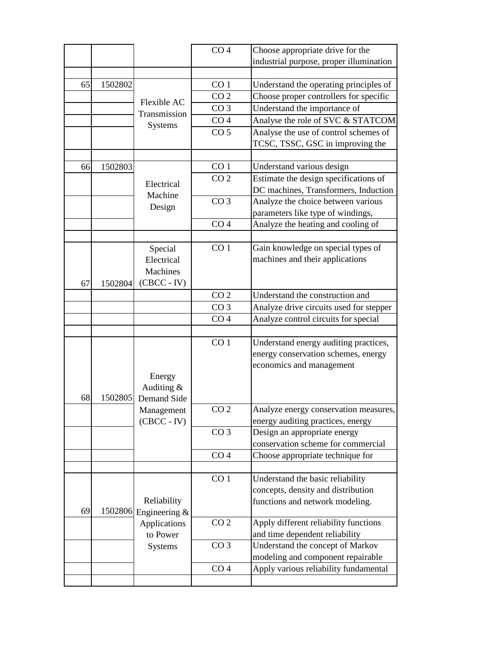|    |         |                          | CO <sub>4</sub> | Choose appropriate drive for the        |
|----|---------|--------------------------|-----------------|-----------------------------------------|
|    |         |                          |                 | industrial purpose, proper illumination |
| 65 | 1502802 |                          | CO <sub>1</sub> | Understand the operating principles of  |
|    |         |                          | CO <sub>2</sub> | Choose proper controllers for specific  |
|    |         | Flexible AC              | CO <sub>3</sub> |                                         |
|    |         | Transmission             | CO <sub>4</sub> | Understand the importance of            |
|    |         | <b>Systems</b>           |                 | Analyse the role of SVC & STATCOM       |
|    |         |                          | CO <sub>5</sub> | Analyse the use of control schemes of   |
|    |         |                          |                 | TCSC, TSSC, GSC in improving the        |
| 66 | 1502803 |                          | CO <sub>1</sub> | Understand various design               |
|    |         |                          | CO <sub>2</sub> | Estimate the design specifications of   |
|    |         | Electrical               |                 | DC machines, Transformers, Induction    |
|    |         | Machine                  | CO <sub>3</sub> | Analyze the choice between various      |
|    |         | Design                   |                 | parameters like type of windings,       |
|    |         |                          | CO <sub>4</sub> | Analyze the heating and cooling of      |
|    |         |                          |                 |                                         |
|    |         | Special                  | CO <sub>1</sub> | Gain knowledge on special types of      |
|    |         | Electrical               |                 | machines and their applications         |
|    |         | Machines                 |                 |                                         |
| 67 | 1502804 | $(CBCC - IV)$            |                 |                                         |
|    |         |                          | CO <sub>2</sub> | Understand the construction and         |
|    |         |                          | CO <sub>3</sub> | Analyze drive circuits used for stepper |
|    |         |                          | CO <sub>4</sub> | Analyze control circuits for special    |
|    |         |                          |                 |                                         |
|    |         |                          | CO <sub>1</sub> | Understand energy auditing practices,   |
|    |         |                          |                 | energy conservation schemes, energy     |
|    |         |                          |                 | economics and management                |
|    |         | Energy                   |                 |                                         |
|    |         | Auditing $&$             |                 |                                         |
| 68 | 1502805 | <b>Demand Side</b>       |                 |                                         |
|    |         | Management               | CO <sub>2</sub> | Analyze energy conservation measures,   |
|    |         | $(CBCC - IV)$            |                 | energy auditing practices, energy       |
|    |         |                          | CO <sub>3</sub> | Design an appropriate energy            |
|    |         |                          |                 | conservation scheme for commercial      |
|    |         |                          | CO <sub>4</sub> | Choose appropriate technique for        |
|    |         |                          | CO <sub>1</sub> | Understand the basic reliability        |
|    |         |                          |                 | concepts, density and distribution      |
|    |         | Reliability              |                 | functions and network modeling.         |
| 69 |         | 1502806 Engineering $\&$ |                 |                                         |
|    |         | Applications             | CO <sub>2</sub> | Apply different reliability functions   |
|    |         | to Power                 |                 | and time dependent reliability          |
|    |         | Systems                  | CO <sub>3</sub> | Understand the concept of Markov        |
|    |         |                          |                 | modeling and component repairable       |
|    |         |                          | CO <sub>4</sub> | Apply various reliability fundamental   |
|    |         |                          |                 |                                         |